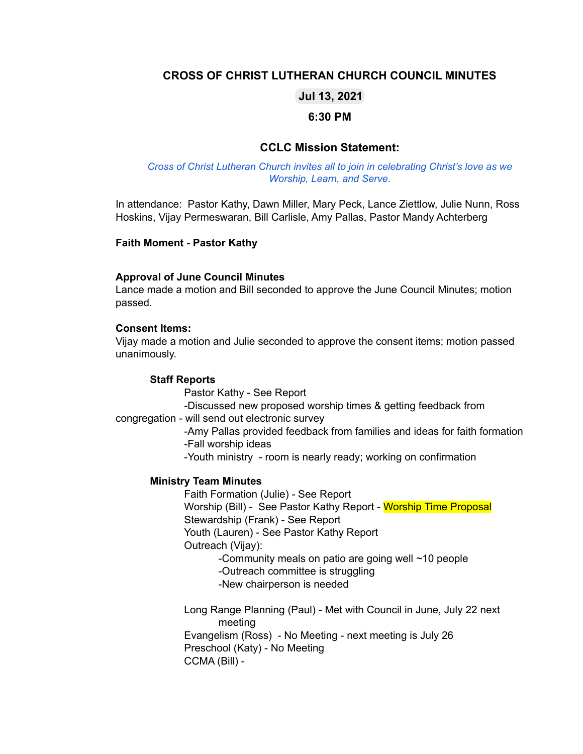## **CROSS OF CHRIST LUTHERAN CHURCH COUNCIL MINUTES**

## **Jul 13, 2021**

### **6:30 PM**

### **CCLC Mission Statement:**

#### *Cross of Christ Lutheran Church invites all to join in celebrating Christ's love as we Worship, Learn, and Serve.*

In attendance: Pastor Kathy, Dawn Miller, Mary Peck, Lance Ziettlow, Julie Nunn, Ross Hoskins, Vijay Permeswaran, Bill Carlisle, Amy Pallas, Pastor Mandy Achterberg

#### **Faith Moment - Pastor Kathy**

#### **Approval of June Council Minutes**

Lance made a motion and Bill seconded to approve the June Council Minutes; motion passed.

#### **Consent Items:**

Vijay made a motion and Julie seconded to approve the consent items; motion passed unanimously.

#### **Staff Reports**

Pastor Kathy - See Report

-Discussed new proposed worship times & getting feedback from

congregation - will send out electronic survey

-Amy Pallas provided feedback from families and ideas for faith formation -Fall worship ideas

-Youth ministry - room is nearly ready; working on confirmation

#### **Ministry Team Minutes**

Faith Formation (Julie) - See Report Worship (Bill) - See Pastor Kathy Report - Worship Time Proposal Stewardship (Frank) - See Report Youth (Lauren) - See Pastor Kathy Report Outreach (Vijay): -Community meals on patio are going well ~10 people -Outreach committee is struggling

-New chairperson is needed

Long Range Planning (Paul) - Met with Council in June, July 22 next meeting Evangelism (Ross) - No Meeting - next meeting is July 26 Preschool (Katy) - No Meeting CCMA (Bill) -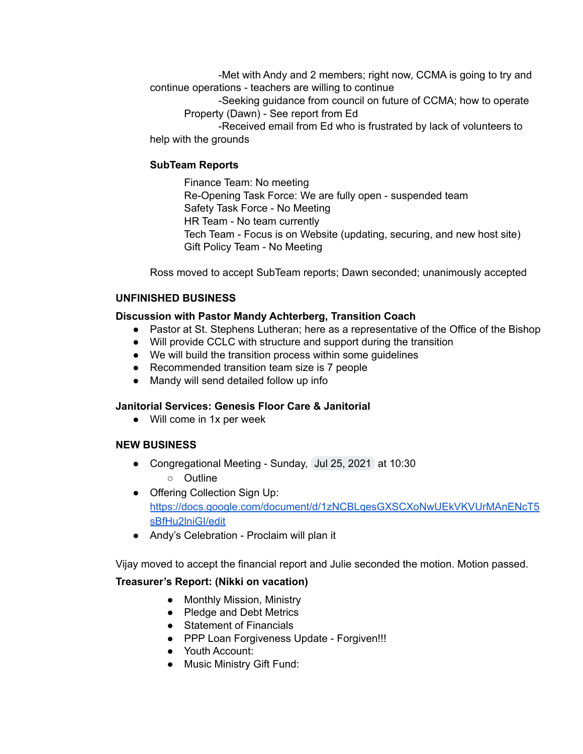-Met with Andy and 2 members; right now, CCMA is going to try and continue operations - teachers are willing to continue

-Seeking guidance from council on future of CCMA; how to operate Property (Dawn) - See report from Ed

-Received email from Ed who is frustrated by lack of volunteers to help with the grounds

### **SubTeam Reports**

Finance Team: No meeting Re-Opening Task Force: We are fully open - suspended team Safety Task Force - No Meeting HR Team - No team currently Tech Team - Focus is on Website (updating, securing, and new host site) Gift Policy Team - No Meeting

Ross moved to accept SubTeam reports; Dawn seconded; unanimously accepted

### **UNFINISHED BUSINESS**

### **Discussion with Pastor Mandy Achterberg, Transition Coach**

- Pastor at St. Stephens Lutheran; here as a representative of the Office of the Bishop
- Will provide CCLC with structure and support during the transition
- We will build the transition process within some guidelines
- Recommended transition team size is 7 people
- Mandy will send detailed follow up info

## **Janitorial Services: Genesis Floor Care & Janitorial**

● Will come in 1x per week

### **NEW BUSINESS**

- *●* Congregational Meeting Sunday, Jul 25, 2021 at 10:30
	- Outline
- Offering Collection Sign Up: [https://docs.google.com/document/d/1zNCBLqesGXSCXoNwUEkVKVUrMAnENcT5](https://docs.google.com/document/d/1zNCBLqesGXSCXoNwUEkVKVUrMAnENcT5sBfHu2lniGI/edit) [sBfHu2lniGI/edit](https://docs.google.com/document/d/1zNCBLqesGXSCXoNwUEkVKVUrMAnENcT5sBfHu2lniGI/edit)
- Andy's Celebration Proclaim will plan it

Vijay moved to accept the financial report and Julie seconded the motion. Motion passed.

### **Treasurer's Report: (Nikki on vacation)**

- Monthly Mission, Ministry
- Pledge and Debt Metrics
- Statement of Financials
- PPP Loan Forgiveness Update Forgiven!!!
- Youth Account:
- Music Ministry Gift Fund: